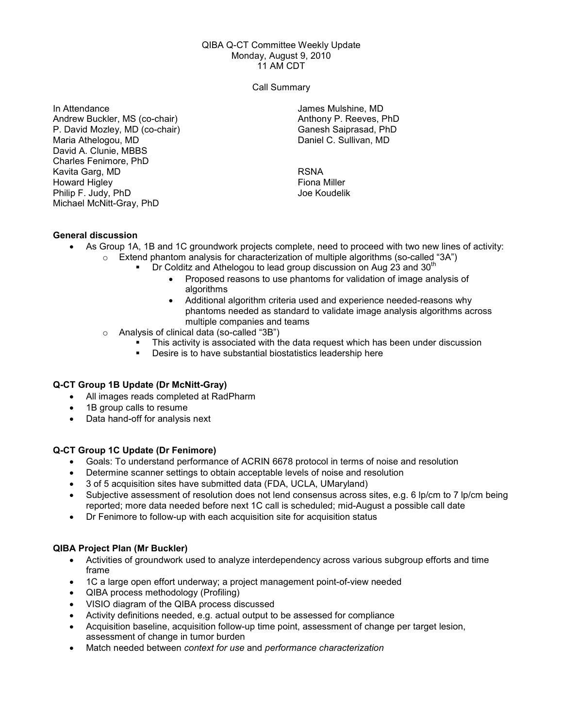#### QIBA Q-CT Committee Weekly Update Monday, August 9, 2010 11 AM CDT

Call Summary

In Attendance Andrew Buckler, MS (co-chair) P. David Mozley, MD (co-chair) Maria Athelogou, MD David A. Clunie, MBBS Charles Fenimore, PhD Kavita Garg, MD Howard Higley Philip F. Judy, PhD Michael McNitt-Gray, PhD

James Mulshine, MD Anthony P. Reeves, PhD Ganesh Saiprasad, PhD Daniel C. Sullivan, MD

RSNA Fiona Miller Joe Koudelik

# General discussion

- As Group 1A, 1B and 1C groundwork projects complete, need to proceed with two new lines of activity:  $\circ$  Extend phantom analysis for characterization of multiple algorithms (so-called "3A")
	- $\blacksquare$  Dr Colditz and Athelogou to lead group discussion on Aug 23 and 30<sup>th</sup>
		- Proposed reasons to use phantoms for validation of image analysis of algorithms
		- Additional algorithm criteria used and experience needed-reasons why phantoms needed as standard to validate image analysis algorithms across multiple companies and teams
	- o Analysis of clinical data (so-called "3B")
		- This activity is associated with the data request which has been under discussion
		- Desire is to have substantial biostatistics leadership here

# Q-CT Group 1B Update (Dr McNitt-Gray)

- All images reads completed at RadPharm
- 1B group calls to resume
- Data hand-off for analysis next

# Q-CT Group 1C Update (Dr Fenimore)

- Goals: To understand performance of ACRIN 6678 protocol in terms of noise and resolution
- Determine scanner settings to obtain acceptable levels of noise and resolution
- 3 of 5 acquisition sites have submitted data (FDA, UCLA, UMaryland)
- Subjective assessment of resolution does not lend consensus across sites, e.g. 6 lp/cm to 7 lp/cm being reported; more data needed before next 1C call is scheduled; mid-August a possible call date
- Dr Fenimore to follow-up with each acquisition site for acquisition status

# QIBA Project Plan (Mr Buckler)

- Activities of groundwork used to analyze interdependency across various subgroup efforts and time frame
- 1C a large open effort underway; a project management point-of-view needed
- QIBA process methodology (Profiling)
- VISIO diagram of the QIBA process discussed
- Activity definitions needed, e.g. actual output to be assessed for compliance
- Acquisition baseline, acquisition follow-up time point, assessment of change per target lesion, assessment of change in tumor burden
- Match needed between context for use and performance characterization